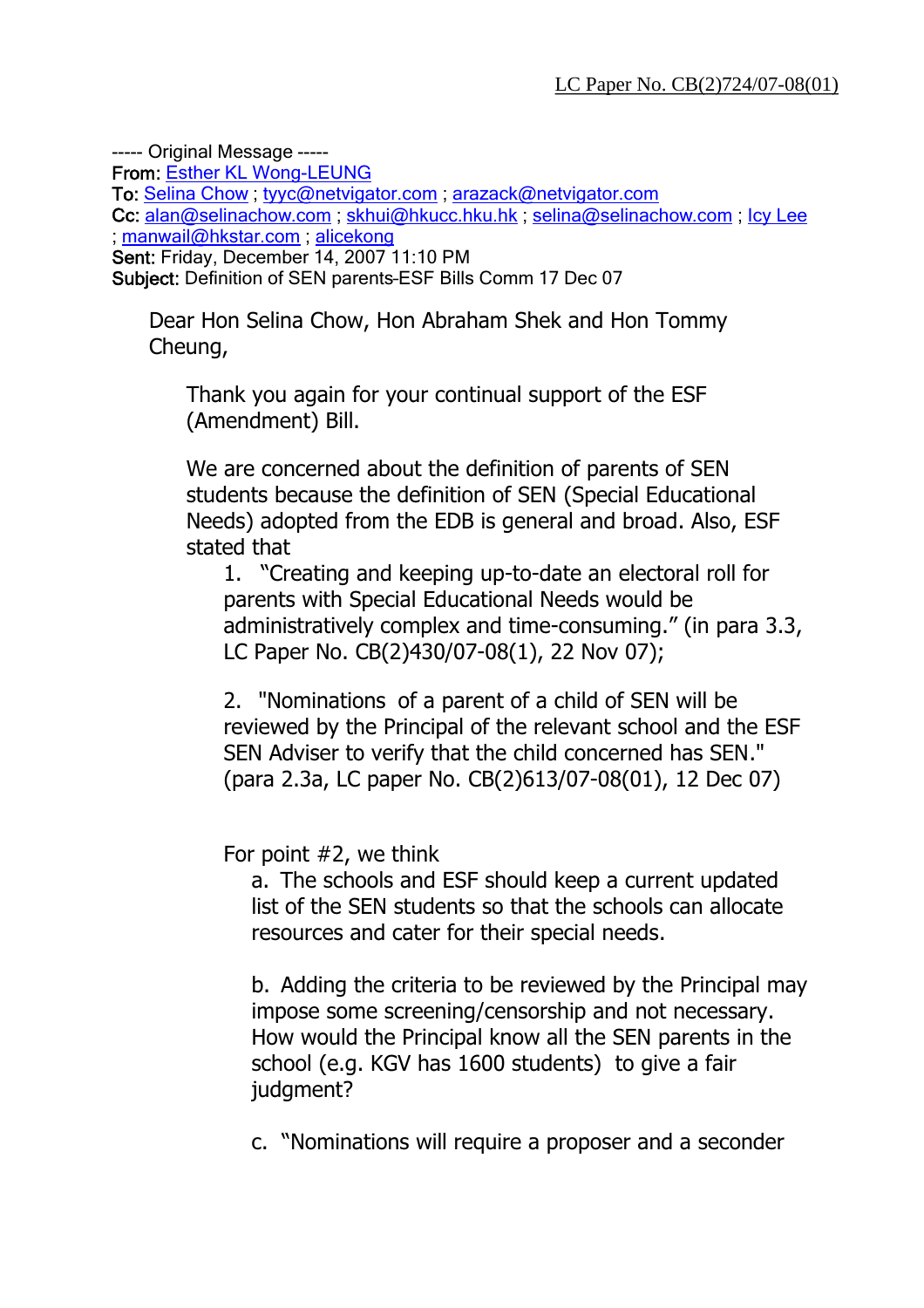----- Original Message ----- From: Esther KL Wong-LEUNG To: Selina Chow ; tyyc@netvigator.com ; arazack@netvigator.com Cc: alan@selinachow.com ; skhui@hkucc.hku.hk ; selina@selinachow.com ; Icy Lee ; manwail@hkstar.com ; alicekong Sent: Friday, December 14, 2007 11:10 PM Subject: Definition of SEN parents–ESF Bills Comm 17 Dec 07

Dear Hon Selina Chow, Hon Abraham Shek and Hon Tommy Cheung,

Thank you again for your continual support of the ESF (Amendment) Bill.

We are concerned about the definition of parents of SEN students because the definition of SEN (Special Educational Needs) adopted from the EDB is general and broad. Also, ESF stated that

1. "Creating and keeping up-to-date an electoral roll for parents with Special Educational Needs would be administratively complex and time-consuming." (in para 3.3, LC Paper No. CB(2)430/07-08(1), 22 Nov 07);

2. "Nominations of a parent of a child of SEN will be reviewed by the Principal of the relevant school and the ESF SEN Adviser to verify that the child concerned has SEN." (para 2.3a, LC paper No. CB(2)613/07-08(01), 12 Dec 07)

For point #2, we think

a. The schools and ESF should keep a current updated list of the SEN students so that the schools can allocate resources and cater for their special needs.

b. Adding the criteria to be reviewed by the Principal may impose some screening/censorship and not necessary. How would the Principal know all the SEN parents in the school (e.g. KGV has 1600 students) to give a fair judgment?

c. "Nominations will require a proposer and a seconder